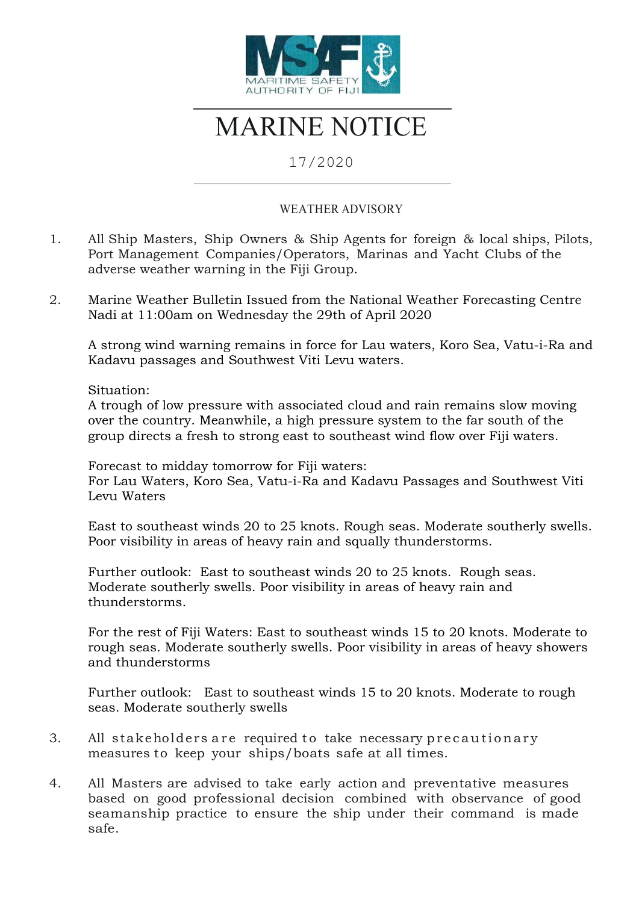

## MARINE NOTICE

## 17/2020

## WEATHER ADVISORY

- 1. All Ship Masters, Ship Owners & Ship Agents for foreign & local ships, Pilots, Port Management Companies/Operators, Marinas and Yacht Clubs of the adverse weather warning in the Fiji Group.
- 2. Marine Weather Bulletin Issued from the National Weather Forecasting Centre Nadi at 11:00am on Wednesday the 29th of April 2020

A strong wind warning remains in force for Lau waters, Koro Sea, Vatu-i-Ra and Kadavu passages and Southwest Viti Levu waters.

Situation:

A trough of low pressure with associated cloud and rain remains slow moving over the country. Meanwhile, a high pressure system to the far south of the group directs a fresh to strong east to southeast wind flow over Fiji waters.

Forecast to midday tomorrow for Fiji waters: For Lau Waters, Koro Sea, Vatu-i-Ra and Kadavu Passages and Southwest Viti Levu Waters

East to southeast winds 20 to 25 knots. Rough seas. Moderate southerly swells. Poor visibility in areas of heavy rain and squally thunderstorms.

Further outlook: East to southeast winds 20 to 25 knots. Rough seas. Moderate southerly swells. Poor visibility in areas of heavy rain and thunderstorms.

For the rest of Fiji Waters: East to southeast winds 15 to 20 knots. Moderate to rough seas. Moderate southerly swells. Poor visibility in areas of heavy showers and thunderstorms

Further outlook: East to southeast winds 15 to 20 knots. Moderate to rough seas. Moderate southerly swells

- 3. All stakeholders are required to take necessary precautionary measures to keep your ships/boats safe at all times.
- 4. All Masters are advised to take early action and preventative measures based on good professional decision combined with observance of good seamanship practice to ensure the ship under their command is made safe.